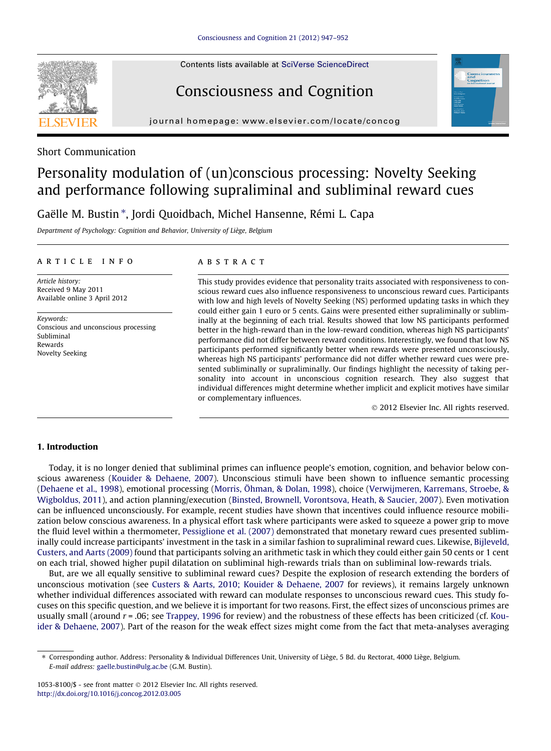Contents lists available at [SciVerse ScienceDirect](http://www.sciencedirect.com/science/journal/10538100)

## Consciousness and Cognition

journal homepage: [www.elsevier.com/locate/concog](http://www.elsevier.com/locate/concog)



# Personality modulation of (un)conscious processing: Novelty Seeking and performance following supraliminal and subliminal reward cues

Gaëlle M. Bustin \*, Jordi Quoidbach, Michel Hansenne, Rémi L. Capa

Department of Psychology: Cognition and Behavior, University of Liège, Belgium

#### article info

Article history: Received 9 May 2011 Available online 3 April 2012

Keywords: Conscious and unconscious processing Subliminal Rewards Novelty Seeking

#### **ARSTRACT**

This study provides evidence that personality traits associated with responsiveness to conscious reward cues also influence responsiveness to unconscious reward cues. Participants with low and high levels of Novelty Seeking (NS) performed updating tasks in which they could either gain 1 euro or 5 cents. Gains were presented either supraliminally or subliminally at the beginning of each trial. Results showed that low NS participants performed better in the high-reward than in the low-reward condition, whereas high NS participants' performance did not differ between reward conditions. Interestingly, we found that low NS participants performed significantly better when rewards were presented unconsciously, whereas high NS participants' performance did not differ whether reward cues were presented subliminally or supraliminally. Our findings highlight the necessity of taking personality into account in unconscious cognition research. They also suggest that individual differences might determine whether implicit and explicit motives have similar or complementary influences.

- 2012 Elsevier Inc. All rights reserved.

### 1. Introduction

Today, it is no longer denied that subliminal primes can influence people's emotion, cognition, and behavior below conscious awareness [\(Kouider & Dehaene, 2007](#page-5-0)). Unconscious stimuli have been shown to influence semantic processing ([Dehaene et al., 1998\)](#page-5-0), emotional processing ([Morris, Öhman, & Dolan, 1998\)](#page-5-0), choice [\(Verwijmeren, Karremans, Stroebe, &](#page-5-0) [Wigboldus, 2011\)](#page-5-0), and action planning/execution [\(Binsted, Brownell, Vorontsova, Heath, & Saucier, 2007](#page-4-0)). Even motivation can be influenced unconsciously. For example, recent studies have shown that incentives could influence resource mobilization below conscious awareness. In a physical effort task where participants were asked to squeeze a power grip to move the fluid level within a thermometer, [Pessiglione et al. \(2007\)](#page-5-0) demonstrated that monetary reward cues presented subliminally could increase participants' investment in the task in a similar fashion to supraliminal reward cues. Likewise, [Bijleveld,](#page-4-0) [Custers, and Aarts \(2009\)](#page-4-0) found that participants solving an arithmetic task in which they could either gain 50 cents or 1 cent on each trial, showed higher pupil dilatation on subliminal high-rewards trials than on subliminal low-rewards trials.

But, are we all equally sensitive to subliminal reward cues? Despite the explosion of research extending the borders of unconscious motivation (see [Custers & Aarts, 2010; Kouider & Dehaene, 2007](#page-5-0) for reviews), it remains largely unknown whether individual differences associated with reward can modulate responses to unconscious reward cues. This study focuses on this specific question, and we believe it is important for two reasons. First, the effect sizes of unconscious primes are usually small (around  $r = .06$ ; see [Trappey, 1996](#page-5-0) for review) and the robustness of these effects has been criticized (cf. [Kou](#page-5-0)[ider & Dehaene, 2007\)](#page-5-0). Part of the reason for the weak effect sizes might come from the fact that meta-analyses averaging



<sup>⇑</sup> Corresponding author. Address: Personality & Individual Differences Unit, University of Liège, 5 Bd. du Rectorat, 4000 Liège, Belgium. E-mail address: [gaelle.bustin@ulg.ac.be](mailto:gaelle.bustin@ulg.ac.be) (G.M. Bustin).

 $1053-8100$ /\$ - see front matter  $\odot$  2012 Elsevier Inc. All rights reserved. <http://dx.doi.org/10.1016/j.concog.2012.03.005>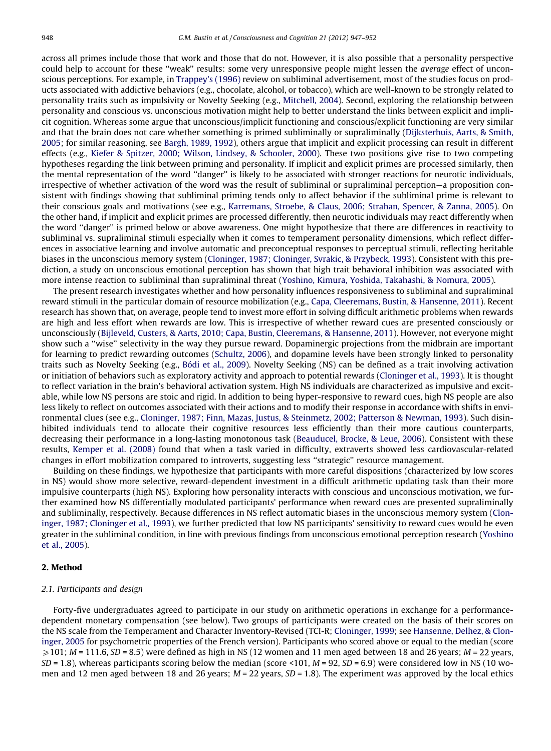across all primes include those that work and those that do not. However, it is also possible that a personality perspective could help to account for these ''weak'' results: some very unresponsive people might lessen the average effect of unconscious perceptions. For example, in [Trappey's \(1996\)](#page-5-0) review on subliminal advertisement, most of the studies focus on products associated with addictive behaviors (e.g., chocolate, alcohol, or tobacco), which are well-known to be strongly related to personality traits such as impulsivity or Novelty Seeking (e.g., [Mitchell, 2004](#page-5-0)). Second, exploring the relationship between personality and conscious vs. unconscious motivation might help to better understand the links between explicit and implicit cognition. Whereas some argue that unconscious/implicit functioning and conscious/explicit functioning are very similar and that the brain does not care whether something is primed subliminally or supraliminally ([Dijksterhuis, Aarts, & Smith,](#page-5-0) [2005](#page-5-0); for similar reasoning, see [Bargh, 1989, 1992\)](#page-4-0), others argue that implicit and explicit processing can result in different effects (e.g., [Kiefer & Spitzer, 2000; Wilson, Lindsey, & Schooler, 2000](#page-5-0)). These two positions give rise to two competing hypotheses regarding the link between priming and personality. If implicit and explicit primes are processed similarly, then the mental representation of the word ''danger'' is likely to be associated with stronger reactions for neurotic individuals, irrespective of whether activation of the word was the result of subliminal or supraliminal perception—a proposition consistent with findings showing that subliminal priming tends only to affect behavior if the subliminal prime is relevant to their conscious goals and motivations (see e.g., [Karremans, Stroebe, & Claus, 2006; Strahan, Spencer, & Zanna, 2005\)](#page-5-0). On the other hand, if implicit and explicit primes are processed differently, then neurotic individuals may react differently when the word ''danger'' is primed below or above awareness. One might hypothesize that there are differences in reactivity to subliminal vs. supraliminal stimuli especially when it comes to temperament personality dimensions, which reflect differences in associative learning and involve automatic and preconceptual responses to perceptual stimuli, reflecting heritable biases in the unconscious memory system [\(Cloninger, 1987; Cloninger, Svrakic, & Przybeck, 1993\)](#page-5-0). Consistent with this prediction, a study on unconscious emotional perception has shown that high trait behavioral inhibition was associated with more intense reaction to subliminal than supraliminal threat ([Yoshino, Kimura, Yoshida, Takahashi, & Nomura, 2005](#page-5-0)).

The present research investigates whether and how personality influences responsiveness to subliminal and supraliminal reward stimuli in the particular domain of resource mobilization (e.g., [Capa, Cleeremans, Bustin, & Hansenne, 2011\)](#page-5-0). Recent research has shown that, on average, people tend to invest more effort in solving difficult arithmetic problems when rewards are high and less effort when rewards are low. This is irrespective of whether reward cues are presented consciously or unconsciously ([Bijleveld, Custers, & Aarts, 2010; Capa, Bustin, Cleeremans, & Hansenne, 2011\)](#page-4-0). However, not everyone might show such a ''wise'' selectivity in the way they pursue reward. Dopaminergic projections from the midbrain are important for learning to predict rewarding outcomes [\(Schultz, 2006\)](#page-5-0), and dopamine levels have been strongly linked to personality traits such as Novelty Seeking (e.g., [Bódi et al., 2009](#page-5-0)). Novelty Seeking (NS) can be defined as a trait involving activation or initiation of behaviors such as exploratory activity and approach to potential rewards [\(Cloninger et al., 1993\)](#page-5-0). It is thought to reflect variation in the brain's behavioral activation system. High NS individuals are characterized as impulsive and excitable, while low NS persons are stoic and rigid. In addition to being hyper-responsive to reward cues, high NS people are also less likely to reflect on outcomes associated with their actions and to modify their response in accordance with shifts in environmental clues (see e.g., [Cloninger, 1987; Finn, Mazas, Justus, & Steinmetz, 2002; Patterson & Newman, 1993\)](#page-5-0). Such disinhibited individuals tend to allocate their cognitive resources less efficiently than their more cautious counterparts, decreasing their performance in a long-lasting monotonous task [\(Beauducel, Brocke, & Leue, 2006\)](#page-4-0). Consistent with these results, [Kemper et al. \(2008\)](#page-5-0) found that when a task varied in difficulty, extraverts showed less cardiovascular-related changes in effort mobilization compared to introverts, suggesting less ''strategic'' resource management.

Building on these findings, we hypothesize that participants with more careful dispositions (characterized by low scores in NS) would show more selective, reward-dependent investment in a difficult arithmetic updating task than their more impulsive counterparts (high NS). Exploring how personality interacts with conscious and unconscious motivation, we further examined how NS differentially modulated participants' performance when reward cues are presented supraliminally and subliminally, respectively. Because differences in NS reflect automatic biases in the unconscious memory system [\(Clon](#page-5-0)[inger, 1987; Cloninger et al., 1993](#page-5-0)), we further predicted that low NS participants' sensitivity to reward cues would be even greater in the subliminal condition, in line with previous findings from unconscious emotional perception research [\(Yoshino](#page-5-0) [et al., 2005](#page-5-0)).

#### 2. Method

#### 2.1. Participants and design

Forty-five undergraduates agreed to participate in our study on arithmetic operations in exchange for a performancedependent monetary compensation (see below). Two groups of participants were created on the basis of their scores on the NS scale from the Temperament and Character Inventory-Revised (TCI-R; [Cloninger, 1999;](#page-5-0) see [Hansenne, Delhez, & Clon](#page-5-0)[inger, 2005](#page-5-0) for psychometric properties of the French version). Participants who scored above or equal to the median (score  $\geqslant$  101; M = 111.6, SD = 8.5) were defined as high in NS (12 women and 11 men aged between 18 and 26 years; M = 22 years,  $SD = 1.8$ ), whereas participants scoring below the median (score <101,  $M = 92$ ,  $SD = 6.9$ ) were considered low in NS (10 women and 12 men aged between 18 and 26 years;  $M = 22$  years,  $SD = 1.8$ ). The experiment was approved by the local ethics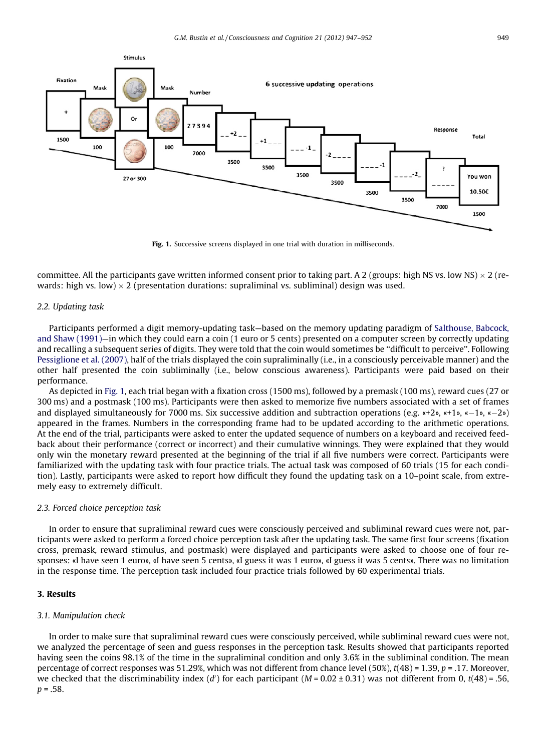

Fig. 1. Successive screens displayed in one trial with duration in milliseconds.

committee. All the participants gave written informed consent prior to taking part. A 2 (groups: high NS vs. low NS)  $\times$  2 (rewards: high vs. low)  $\times$  2 (presentation durations: supraliminal vs. subliminal) design was used.

#### 2.2. Updating task

Participants performed a digit memory-updating task—based on the memory updating paradigm of [Salthouse, Babcock,](#page-5-0) [and Shaw \(1991\)—](#page-5-0)in which they could earn a coin (1 euro or 5 cents) presented on a computer screen by correctly updating and recalling a subsequent series of digits. They were told that the coin would sometimes be ''difficult to perceive''. Following [Pessiglione et al. \(2007\)](#page-5-0), half of the trials displayed the coin supraliminally (i.e., in a consciously perceivable manner) and the other half presented the coin subliminally (i.e., below conscious awareness). Participants were paid based on their performance.

As depicted in Fig. 1, each trial began with a fixation cross (1500 ms), followed by a premask (100 ms), reward cues (27 or 300 ms) and a postmask (100 ms). Participants were then asked to memorize five numbers associated with a set of frames and displayed simultaneously for 7000 ms. Six successive addition and subtraction operations (e.g.  $\alpha+2\gamma$ ,  $\alpha+1\gamma$ ,  $\alpha-2\gamma$ ) appeared in the frames. Numbers in the corresponding frame had to be updated according to the arithmetic operations. At the end of the trial, participants were asked to enter the updated sequence of numbers on a keyboard and received feedback about their performance (correct or incorrect) and their cumulative winnings. They were explained that they would only win the monetary reward presented at the beginning of the trial if all five numbers were correct. Participants were familiarized with the updating task with four practice trials. The actual task was composed of 60 trials (15 for each condition). Lastly, participants were asked to report how difficult they found the updating task on a 10–point scale, from extremely easy to extremely difficult.

#### 2.3. Forced choice perception task

In order to ensure that supraliminal reward cues were consciously perceived and subliminal reward cues were not, participants were asked to perform a forced choice perception task after the updating task. The same first four screens (fixation cross, premask, reward stimulus, and postmask) were displayed and participants were asked to choose one of four responses: «I have seen 1 euro», «I have seen 5 cents», «I guess it was 1 euro», «I guess it was 5 cents». There was no limitation in the response time. The perception task included four practice trials followed by 60 experimental trials.

## 3. Results

#### 3.1. Manipulation check

In order to make sure that supraliminal reward cues were consciously perceived, while subliminal reward cues were not, we analyzed the percentage of seen and guess responses in the perception task. Results showed that participants reported having seen the coins 98.1% of the time in the supraliminal condition and only 3.6% in the subliminal condition. The mean percentage of correct responses was 51.29%, which was not different from chance level (50%),  $t(48) = 1.39$ ,  $p = .17$ . Moreover, we checked that the discriminability index  $(d')$  for each participant  $(M = 0.02 \pm 0.31)$  was not different from 0, t(48) = .56,  $p = .58$ .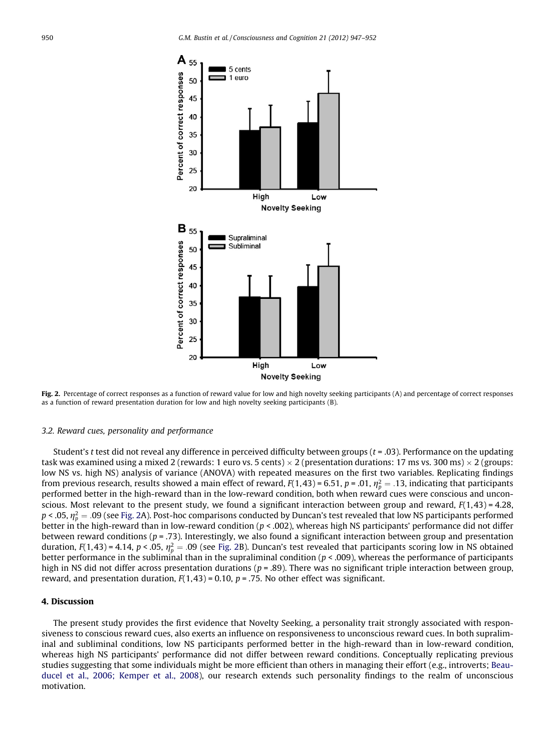

Fig. 2. Percentage of correct responses as a function of reward value for low and high novelty seeking participants (A) and percentage of correct responses as a function of reward presentation duration for low and high novelty seeking participants (B).

#### 3.2. Reward cues, personality and performance

Student's t test did not reveal any difference in perceived difficulty between groups ( $t = .03$ ). Performance on the updating task was examined using a mixed 2 (rewards: 1 euro vs. 5 cents)  $\times$  2 (presentation durations: 17 ms vs. 300 ms)  $\times$  2 (groups: low NS vs. high NS) analysis of variance (ANOVA) with repeated measures on the first two variables. Replicating findings from previous research, results showed a main effect of reward, F(1,43) = 6.51, p = .01,  $\eta_p^2 =$  .13, indicating that participants performed better in the high-reward than in the low-reward condition, both when reward cues were conscious and unconscious. Most relevant to the present study, we found a significant interaction between group and reward,  $F(1,43) = 4.28$ , p < .05,  $\eta_p^2=$  .09 (see Fig. 2A). Post-hoc comparisons conducted by Duncan's test revealed that low NS participants performed better in the high-reward than in low-reward condition ( $p < .002$ ), whereas high NS participants' performance did not differ between reward conditions ( $p = .73$ ). Interestingly, we also found a significant interaction between group and presentation duration, F(1,43) = 4.14, p < .05,  $\eta_p^2 =$  .09 (see Fig. 2B). Duncan's test revealed that participants scoring low in NS obtained better performance in the subliminal than in the supraliminal condition ( $p < .009$ ), whereas the performance of participants high in NS did not differ across presentation durations ( $p = .89$ ). There was no significant triple interaction between group, reward, and presentation duration,  $F(1,43) = 0.10$ ,  $p = .75$ . No other effect was significant.

#### 4. Discussion

The present study provides the first evidence that Novelty Seeking, a personality trait strongly associated with responsiveness to conscious reward cues, also exerts an influence on responsiveness to unconscious reward cues. In both supraliminal and subliminal conditions, low NS participants performed better in the high-reward than in low-reward condition, whereas high NS participants' performance did not differ between reward conditions. Conceptually replicating previous studies suggesting that some individuals might be more efficient than others in managing their effort (e.g., introverts; [Beau](#page-4-0)[ducel et al., 2006; Kemper et al., 2008\)](#page-4-0), our research extends such personality findings to the realm of unconscious motivation.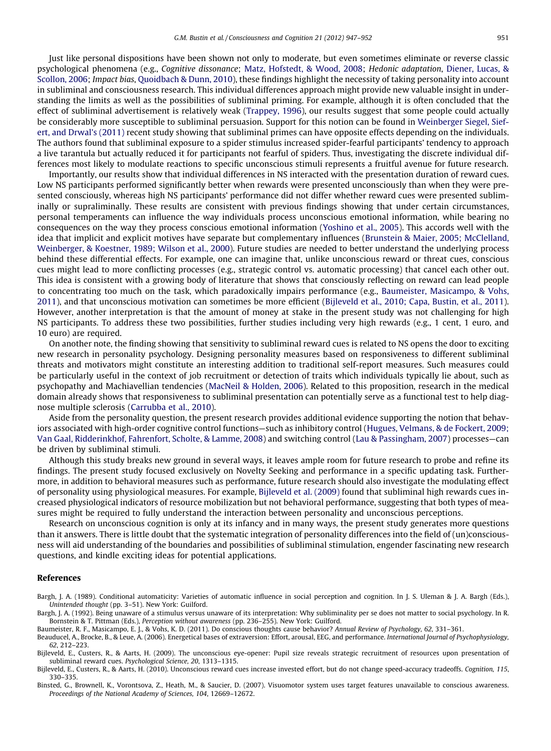<span id="page-4-0"></span>Just like personal dispositions have been shown not only to moderate, but even sometimes eliminate or reverse classic psychological phenomena (e.g., Cognitive dissonance; [Matz, Hofstedt, & Wood, 2008](#page-5-0); Hedonic adaptation, [Diener, Lucas, &](#page-5-0) [Scollon, 2006;](#page-5-0) Impact bias, [Quoidbach & Dunn, 2010\)](#page-5-0), these findings highlight the necessity of taking personality into account in subliminal and consciousness research. This individual differences approach might provide new valuable insight in understanding the limits as well as the possibilities of subliminal priming. For example, although it is often concluded that the effect of subliminal advertisement is relatively weak ([Trappey, 1996\)](#page-5-0), our results suggest that some people could actually be considerably more susceptible to subliminal persuasion. Support for this notion can be found in [Weinberger Siegel, Sief](#page-5-0)[ert, and Drwal's \(2011\)](#page-5-0) recent study showing that subliminal primes can have opposite effects depending on the individuals. The authors found that subliminal exposure to a spider stimulus increased spider-fearful participants' tendency to approach a live tarantula but actually reduced it for participants not fearful of spiders. Thus, investigating the discrete individual differences most likely to modulate reactions to specific unconscious stimuli represents a fruitful avenue for future research.

Importantly, our results show that individual differences in NS interacted with the presentation duration of reward cues. Low NS participants performed significantly better when rewards were presented unconsciously than when they were presented consciously, whereas high NS participants' performance did not differ whether reward cues were presented subliminally or supraliminally. These results are consistent with previous findings showing that under certain circumstances, personal temperaments can influence the way individuals process unconscious emotional information, while bearing no consequences on the way they process conscious emotional information [\(Yoshino et al., 2005](#page-5-0)). This accords well with the idea that implicit and explicit motives have separate but complementary influences [\(Brunstein & Maier, 2005; McClelland,](#page-5-0) [Weinberger, & Koestner, 1989; Wilson et al., 2000](#page-5-0)). Future studies are needed to better understand the underlying process behind these differential effects. For example, one can imagine that, unlike unconscious reward or threat cues, conscious cues might lead to more conflicting processes (e.g., strategic control vs. automatic processing) that cancel each other out. This idea is consistent with a growing body of literature that shows that consciously reflecting on reward can lead people to concentrating too much on the task, which paradoxically impairs performance (e.g., Baumeister, Masicampo, & Vohs, 2011), and that unconscious motivation can sometimes be more efficient (Bijleveld et al., 2010; Capa, Bustin, et al., 2011). However, another interpretation is that the amount of money at stake in the present study was not challenging for high NS participants. To address these two possibilities, further studies including very high rewards (e.g., 1 cent, 1 euro, and 10 euro) are required.

On another note, the finding showing that sensitivity to subliminal reward cues is related to NS opens the door to exciting new research in personality psychology. Designing personality measures based on responsiveness to different subliminal threats and motivators might constitute an interesting addition to traditional self-report measures. Such measures could be particularly useful in the context of job recruitment or detection of traits which individuals typically lie about, such as psychopathy and Machiavellian tendencies [\(MacNeil & Holden, 2006](#page-5-0)). Related to this proposition, research in the medical domain already shows that responsiveness to subliminal presentation can potentially serve as a functional test to help diagnose multiple sclerosis [\(Carrubba et al., 2010\)](#page-5-0).

Aside from the personality question, the present research provides additional evidence supporting the notion that behaviors associated with high-order cognitive control functions—such as inhibitory control ([Hugues, Velmans, & de Fockert, 2009;](#page-5-0) [Van Gaal, Ridderinkhof, Fahrenfort, Scholte, & Lamme, 2008\)](#page-5-0) and switching control ([Lau & Passingham, 2007](#page-5-0)) processes—can be driven by subliminal stimuli.

Although this study breaks new ground in several ways, it leaves ample room for future research to probe and refine its findings. The present study focused exclusively on Novelty Seeking and performance in a specific updating task. Furthermore, in addition to behavioral measures such as performance, future research should also investigate the modulating effect of personality using physiological measures. For example, Bijleveld et al. (2009) found that subliminal high rewards cues increased physiological indicators of resource mobilization but not behavioral performance, suggesting that both types of measures might be required to fully understand the interaction between personality and unconscious perceptions.

Research on unconscious cognition is only at its infancy and in many ways, the present study generates more questions than it answers. There is little doubt that the systematic integration of personality differences into the field of (un)consciousness will aid understanding of the boundaries and possibilities of subliminal stimulation, engender fascinating new research questions, and kindle exciting ideas for potential applications.

#### References

Bargh, J. A. (1992). Being unaware of a stimulus versus unaware of its interpretation: Why subliminality per se does not matter to social psychology. In R. Bornstein & T. Pittman (Eds.), Perception without awareness (pp. 236–255). New York: Guilford.

Baumeister, R. F., Masicampo, E. J., & Vohs, K. D. (2011). Do conscious thoughts cause behavior? Annual Review of Psychology, 62, 331–361.

Beauducel, A., Brocke, B., & Leue, A. (2006). Energetical bases of extraversion: Effort, arousal, EEG, and performance. International Journal of Psychophysiology, 62, 212–223.

Bijleveld, E., Custers, R., & Aarts, H. (2009). The unconscious eye-opener: Pupil size reveals strategic recruitment of resources upon presentation of subliminal reward cues. Psychological Science, 20, 1313–1315.

Bijleveld, E., Custers, R., & Aarts, H. (2010). Unconscious reward cues increase invested effort, but do not change speed-accuracy tradeoffs. Cognition, 115, 330–335.

Binsted, G., Brownell, K., Vorontsova, Z., Heath, M., & Saucier, D. (2007). Visuomotor system uses target features unavailable to conscious awareness. Proceedings of the National Academy of Sciences, 104, 12669–12672.

Bargh, J. A. (1989). Conditional automaticity: Varieties of automatic influence in social perception and cognition. In J. S. Uleman & J. A. Bargh (Eds.), Unintended thought (pp. 3–51). New York: Guilford.